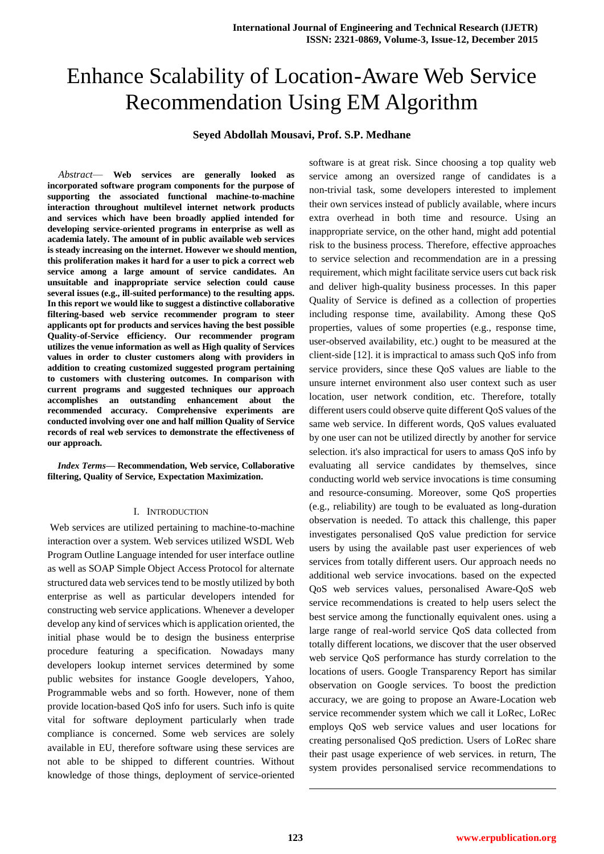# Enhance Scalability of Location-Aware Web Service Recommendation Using EM Algorithm

### **Seyed Abdollah Mousavi, Prof. S.P. Medhane**

*Abstract*— **Web services are generally looked as incorporated software program components for the purpose of supporting the associated functional machine-to-machine interaction throughout multilevel internet network products and services which have been broadly applied intended for developing service-oriented programs in enterprise as well as academia lately. The amount of in public available web services is steady increasing on the internet. However we should mention, this proliferation makes it hard for a user to pick a correct web service among a large amount of service candidates. An unsuitable and inappropriate service selection could cause several issues (e.g., ill-suited performance) to the resulting apps. In this report we would like to suggest a distinctive collaborative filtering-based web service recommender program to steer applicants opt for products and services having the best possible Quality-of-Service efficiency. Our recommender program utilizes the venue information as well as High quality of Services values in order to cluster customers along with providers in addition to creating customized suggested program pertaining to customers with clustering outcomes. In comparison with current programs and suggested techniques our approach accomplishes an outstanding enhancement about the recommended accuracy. Comprehensive experiments are conducted involving over one and half million Quality of Service records of real web services to demonstrate the effectiveness of our approach.**

*Index Terms***— Recommendation, Web service, Collaborative filtering, Quality of Service, Expectation Maximization.** 

#### I. INTRODUCTION

Web services are utilized pertaining to machine-to-machine interaction over a system. Web services utilized WSDL Web Program Outline Language intended for user interface outline as well as SOAP Simple Object Access Protocol for alternate structured data web services tend to be mostly utilized by both enterprise as well as particular developers intended for constructing web service applications. Whenever a developer develop any kind of services which is application oriented, the initial phase would be to design the business enterprise procedure featuring a specification. Nowadays many developers lookup internet services determined by some public websites for instance Google developers, Yahoo, Programmable webs and so forth. However, none of them provide location-based QoS info for users. Such info is quite vital for software deployment particularly when trade compliance is concerned. Some web services are solely available in EU, therefore software using these services are not able to be shipped to different countries. Without knowledge of those things, deployment of service-oriented software is at great risk. Since choosing a top quality web service among an oversized range of candidates is a non-trivial task, some developers interested to implement their own services instead of publicly available, where incurs extra overhead in both time and resource. Using an inappropriate service, on the other hand, might add potential risk to the business process. Therefore, effective approaches to service selection and recommendation are in a pressing requirement, which might facilitate service users cut back risk and deliver high-quality business processes. In this paper Quality of Service is defined as a collection of properties including response time, availability. Among these QoS properties, values of some properties (e.g., response time, user-observed availability, etc.) ought to be measured at the client-side [12]. it is impractical to amass such QoS info from service providers, since these QoS values are liable to the unsure internet environment also user context such as user location, user network condition, etc. Therefore, totally different users could observe quite different QoS values of the same web service. In different words, QoS values evaluated by one user can not be utilized directly by another for service selection. it's also impractical for users to amass QoS info by evaluating all service candidates by themselves, since conducting world web service invocations is time consuming and resource-consuming. Moreover, some QoS properties (e.g., reliability) are tough to be evaluated as long-duration observation is needed. To attack this challenge, this paper investigates personalised QoS value prediction for service users by using the available past user experiences of web services from totally different users. Our approach needs no additional web service invocations. based on the expected QoS web services values, personalised Aware-QoS web service recommendations is created to help users select the best service among the functionally equivalent ones. using a large range of real-world service QoS data collected from totally different locations, we discover that the user observed web service QoS performance has sturdy correlation to the locations of users. Google Transparency Report has similar observation on Google services. To boost the prediction accuracy, we are going to propose an Aware-Location web service recommender system which we call it LoRec, LoRec employs QoS web service values and user locations for creating personalised QoS prediction. Users of LoRec share their past usage experience of web services. in return, The system provides personalised service recommendations to

1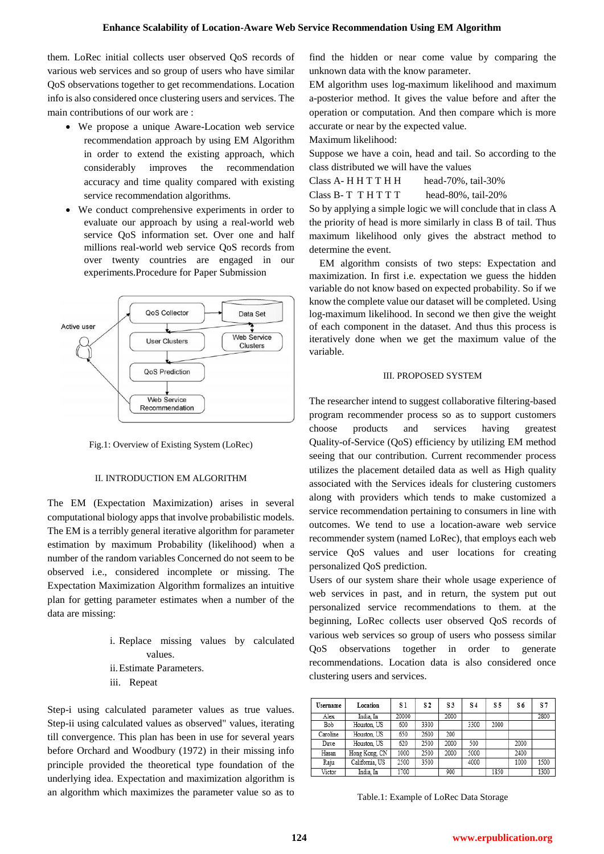them. LoRec initial collects user observed QoS records of various web services and so group of users who have similar QoS observations together to get recommendations. Location info is also considered once clustering users and services. The main contributions of our work are :

- We propose a unique Aware-Location web service recommendation approach by using EM Algorithm in order to extend the existing approach, which considerably improves the recommendation accuracy and time quality compared with existing service recommendation algorithms.
- We conduct comprehensive experiments in order to evaluate our approach by using a real-world web service QoS information set. Over one and half millions real-world web service QoS records from over twenty countries are engaged in our experiments.Procedure for Paper Submission



Fig.1: Overview of Existing System (LoRec)

#### II. INTRODUCTION EM ALGORITHM

The EM (Expectation Maximization) arises in several computational biology apps that involve probabilistic models. The EM is a terribly general iterative algorithm for parameter estimation by maximum Probability (likelihood) when a number of the random variables Concerned do not seem to be observed i.e., considered incomplete or missing. The Expectation Maximization Algorithm formalizes an intuitive plan for getting parameter estimates when a number of the data are missing:

> i. Replace missing values by calculated values. ii.Estimate Parameters. iii. Repeat

Step-i using calculated parameter values as true values. Step-ii using calculated values as observed" values, iterating till convergence. This plan has been in use for several years before Orchard and Woodbury (1972) in their missing info principle provided the theoretical type foundation of the underlying idea. Expectation and maximization algorithm is an algorithm which maximizes the parameter value so as to find the hidden or near come value by comparing the unknown data with the know parameter.

EM algorithm uses log-maximum likelihood and maximum a-posterior method. It gives the value before and after the operation or computation. And then compare which is more accurate or near by the expected value.

Maximum likelihood:

Suppose we have a coin, head and tail. So according to the class distributed we will have the values

Class A- H H T T H H head-70%, tail-30% Class B- T T H T T T head-80%, tail-20%

So by applying a simple logic we will conclude that in class A the priority of head is more similarly in class B of tail. Thus maximum likelihood only gives the abstract method to determine the event.

EM algorithm consists of two steps: Expectation and maximization. In first i.e. expectation we guess the hidden variable do not know based on expected probability. So if we know the complete value our dataset will be completed. Using log-maximum likelihood. In second we then give the weight of each component in the dataset. And thus this process is iteratively done when we get the maximum value of the variable.

#### III. PROPOSED SYSTEM

The researcher intend to suggest collaborative filtering-based program recommender process so as to support customers choose products and services having greatest Quality-of-Service (QoS) efficiency by utilizing EM method seeing that our contribution. Current recommender process utilizes the placement detailed data as well as High quality associated with the Services ideals for clustering customers along with providers which tends to make customized a service recommendation pertaining to consumers in line with outcomes. We tend to use a location-aware web service recommender system (named LoRec), that employs each web service QoS values and user locations for creating personalized QoS prediction.

Users of our system share their whole usage experience of web services in past, and in return, the system put out personalized service recommendations to them. at the beginning, LoRec collects user observed QoS records of various web services so group of users who possess similar QoS observations together in order to generate recommendations. Location data is also considered once clustering users and services.

| Username | Location       | S 1   | S2   | S3   | S <sub>4</sub> | S 5  | S 6  | S 7  |
|----------|----------------|-------|------|------|----------------|------|------|------|
| Alex     | India. In      | 20000 |      | 2000 |                |      |      | 2800 |
| Bob      | Houston, US    | 600   | 3300 |      | 3300           | 2000 |      |      |
| Caroline | Houston, US    | 650   | 2600 | 200  |                |      |      |      |
| Dave     | Houston, US    | 620   | 2500 | 2000 | 500            |      | 2000 |      |
| Hasan    | Hong Kong, CN  | 1000  | 2500 | 2000 | 5000           |      | 2400 |      |
| Raju     | California, US | 2500  | 3500 |      | 4000           |      | 1000 | 1500 |
| Victor   | India. In      | 1700  |      | 900  |                | 1850 |      | 1300 |

Table.1: Example of LoRec Data Storage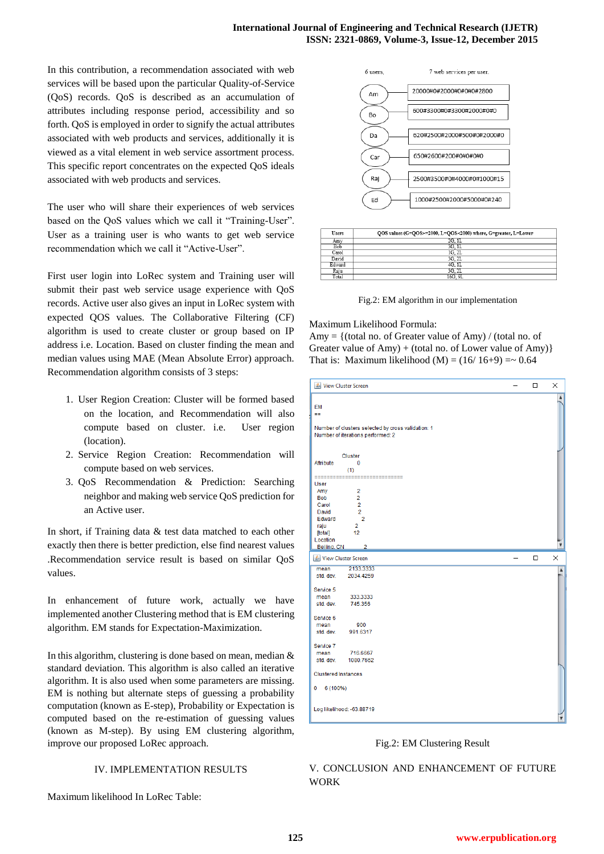In this contribution, a recommendation associated with web services will be based upon the particular Quality-of-Service (QoS) records. QoS is described as an accumulation of attributes including response period, accessibility and so forth. QoS is employed in order to signify the actual attributes associated with web products and services, additionally it is viewed as a vital element in web service assortment process. This specific report concentrates on the expected QoS ideals associated with web products and services.

The user who will share their experiences of web services based on the QoS values which we call it "Training-User". User as a training user is who wants to get web service recommendation which we call it "Active-User".

First user login into LoRec system and Training user will submit their past web service usage experience with QoS records. Active user also gives an input in LoRec system with expected QOS values. The Collaborative Filtering (CF) algorithm is used to create cluster or group based on IP address i.e. Location. Based on cluster finding the mean and median values using MAE (Mean Absolute Error) approach. Recommendation algorithm consists of 3 steps:

- 1. User Region Creation: Cluster will be formed based on the location, and Recommendation will also compute based on cluster. i.e. User region (location).
- 2. Service Region Creation: Recommendation will compute based on web services.
- 3. QoS Recommendation & Prediction: Searching neighbor and making web service QoS prediction for an Active user.

In short, if Training data & test data matched to each other exactly then there is better prediction, else find nearest values .Recommendation service result is based on similar QoS values.

In enhancement of future work, actually we have implemented another Clustering method that is EM clustering algorithm. EM stands for Expectation-Maximization.

In this algorithm, clustering is done based on mean, median  $\&$ standard deviation. This algorithm is also called an iterative algorithm. It is also used when some parameters are missing. EM is nothing but alternate steps of guessing a probability computation (known as E-step), Probability or Expectation is computed based on the re-estimation of guessing values (known as M-step). By using EM clustering algorithm, improve our proposed LoRec approach.

#### IV. IMPLEMENTATION RESULTS

Maximum likelihood In LoRec Table:



| <b>Users</b> | QOS values (G=QOS>=2000, L=QOS<2000) where, G=greater, L=Lower |  |  |  |  |  |
|--------------|----------------------------------------------------------------|--|--|--|--|--|
| Amv          | 2G. 1L                                                         |  |  |  |  |  |
| Bob          | 3G. 1L                                                         |  |  |  |  |  |
| Carol        | 1G. 2L                                                         |  |  |  |  |  |
| David        | 3G 2L                                                          |  |  |  |  |  |
| Edward       | 4G. 1L                                                         |  |  |  |  |  |
| Raju         | 3G. 2L                                                         |  |  |  |  |  |
| Total        | 16G. 9L                                                        |  |  |  |  |  |

Fig.2: EM algorithm in our implementation

Maximum Likelihood Formula:

Amy =  $\{(total no, of Greater value of Amy) / (total no, of$ Greater value of Amy) + (total no. of Lower value of Amy)} That is: Maximum likelihood  $(M) = (16/16+9) = 0.64$ 



Fig.2: EM Clustering Result

## V. CONCLUSION AND ENHANCEMENT OF FUTURE WORK